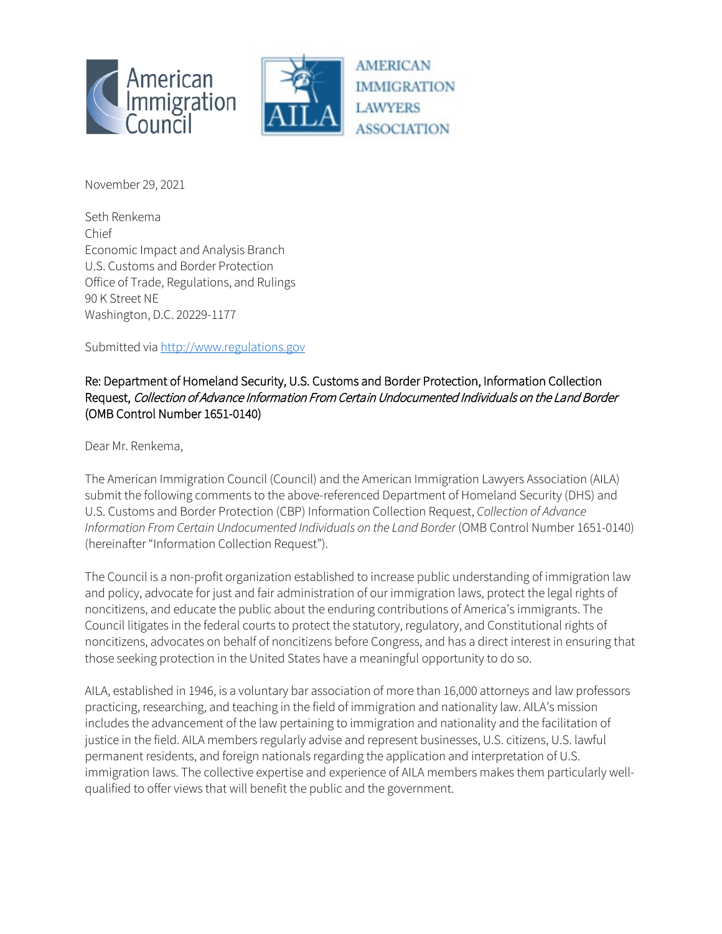



**AMERICAN IMMIGRATION LAWYERS ASSOCIATION** 

November 29, 2021

Seth Renkema Chief Economic Impact and Analysis Branch U.S. Customs and Border Protection Office of Trade, Regulations, and Rulings 90 K Street NE Washington, D.C. 20229-1177

Submitted vi[a http://www.regulations.gov](http://www.regulations.gov/)

#### Re: Department of Homeland Security, U.S. Customs and Border Protection, Information Collection Request, Collection of Advance Information From Certain Undocumented Individuals on the Land Border (OMB Control Number 1651-0140)

Dear Mr. Renkema,

The American Immigration Council (Council) and the American Immigration Lawyers Association (AILA) submit the following comments to the above-referenced Department of Homeland Security (DHS) and U.S. Customs and Border Protection (CBP) Information Collection Request, *Collection of Advance Information From Certain Undocumented Individuals on the Land Border* (OMB Control Number 1651-0140) (hereinafter "Information Collection Request").

The Council is a non-profit organization established to increase public understanding of immigration law and policy, advocate for just and fair administration of our immigration laws, protect the legal rights of noncitizens, and educate the public about the enduring contributions of America's immigrants. The Council litigates in the federal courts to protect the statutory, regulatory, and Constitutional rights of noncitizens, advocates on behalf of noncitizens before Congress, and has a direct interest in ensuring that those seeking protection in the United States have a meaningful opportunity to do so.

AILA, established in 1946, is a voluntary bar association of more than 16,000 attorneys and law professors practicing, researching, and teaching in the field of immigration and nationality law. AILA's mission includes the advancement of the law pertaining to immigration and nationality and the facilitation of justice in the field. AILA members regularly advise and represent businesses, U.S. citizens, U.S. lawful permanent residents, and foreign nationals regarding the application and interpretation of U.S. immigration laws. The collective expertise and experience of AILA members makes them particularly wellqualified to offer views that will benefit the public and the government.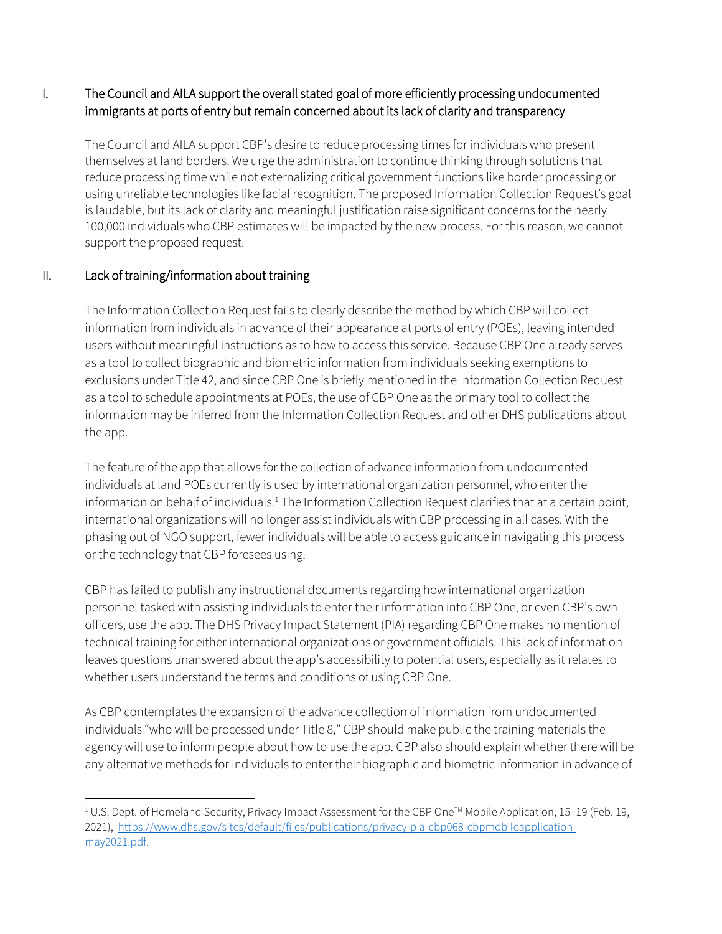### I. The Council and AILA support the overall stated goal of more efficiently processing undocumented immigrants at ports of entry but remain concerned about its lack of clarity and transparency

The Council and AILA support CBP's desire to reduce processing times for individuals who present themselves at land borders. We urge the administration to continue thinking through solutions that reduce processing time while not externalizing critical government functions like border processing or using unreliable technologies like facial recognition. The proposed Information Collection Request's goal is laudable, but its lack of clarity and meaningful justification raise significant concerns for the nearly 100,000 individuals who CBP estimates will be impacted by the new process. For this reason, we cannot support the proposed request.

## II. Lack of training/information about training

The Information Collection Request fails to clearly describe the method by which CBP will collect information from individuals in advance of their appearance at ports of entry (POEs), leaving intended users without meaningful instructions as to how to access this service. Because CBP One already serves as a tool to collect biographic and biometric information from individuals seeking exemptions to exclusions under Title 42, and since CBP One is briefly mentioned in the Information Collection Request as a tool to schedule appointments at POEs, the use of CBP One as the primary tool to collect the information may be inferred from the Information Collection Request and other DHS publications about the app.

The feature of the app that allows for the collection of advance information from undocumented individuals at land POEs currently is used by international organization personnel, who enter the information on behalf of individuals.<sup>[1](#page-1-0)</sup> The Information Collection Request clarifies that at a certain point, international organizations will no longer assist individuals with CBP processing in all cases. With the phasing out of NGO support, fewer individuals will be able to access guidance in navigating this process or the technology that CBP foresees using.

CBP has failed to publish any instructional documents regarding how international organization personnel tasked with assisting individuals to enter their information into CBP One, or even CBP's own officers, use the app. The DHS Privacy Impact Statement (PIA) regarding CBP One makes no mention of technical training for either international organizations or government officials. This lack of information leaves questions unanswered about the app's accessibility to potential users, especially as it relates to whether users understand the terms and conditions of using CBP One.

As CBP contemplates the expansion of the advance collection of information from undocumented individuals "who will be processed under Title 8," CBP should make public the training materials the agency will use to inform people about how to use the app. CBP also should explain whether there will be any alternative methods for individuals to enter their biographic and biometric information in advance of

<span id="page-1-0"></span> $1 \text{ U.S.}$  Dept. of Homeland Security, Privacy Impact Assessment for the CBP One<sup>TM</sup> Mobile Application, 15–19 (Feb. 19, 2021), [https://www.dhs.gov/sites/default/files/publications/privacy-pia-cbp068-cbpmobileapplication](https://www.dhs.gov/sites/default/files/publications/privacy-pia-cbp068-cbpmobileapplication-may2021.pdf)[may2021.pdf.](https://www.dhs.gov/sites/default/files/publications/privacy-pia-cbp068-cbpmobileapplication-may2021.pdf)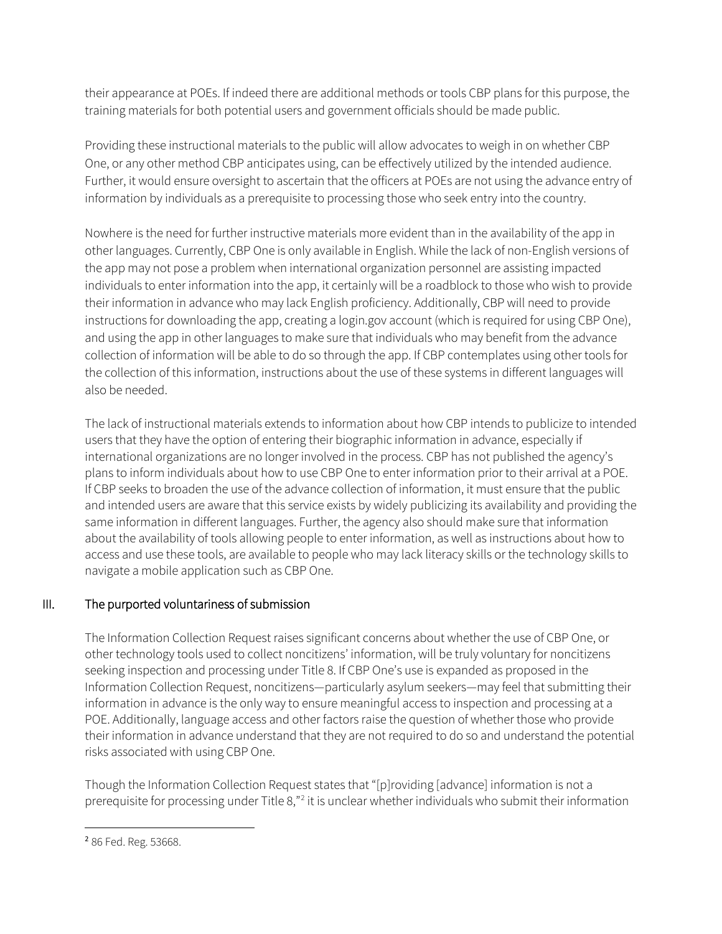their appearance at POEs. If indeed there are additional methods or tools CBP plans for this purpose, the training materials for both potential users and government officials should be made public.

Providing these instructional materials to the public will allow advocates to weigh in on whether CBP One, or any other method CBP anticipates using, can be effectively utilized by the intended audience. Further, it would ensure oversight to ascertain that the officers at POEs are not using the advance entry of information by individuals as a prerequisite to processing those who seek entry into the country.

Nowhere is the need for further instructive materials more evident than in the availability of the app in other languages. Currently, CBP One is only available in English. While the lack of non-English versions of the app may not pose a problem when international organization personnel are assisting impacted individuals to enter information into the app, it certainly will be a roadblock to those who wish to provide their information in advance who may lack English proficiency. Additionally, CBP will need to provide instructions for downloading the app, creating a login.gov account (which is required for using CBP One), and using the app in other languages to make sure that individuals who may benefit from the advance collection of information will be able to do so through the app. If CBP contemplates using other tools for the collection of this information, instructions about the use of these systems in different languages will also be needed.

The lack of instructional materials extends to information about how CBP intends to publicize to intended users that they have the option of entering their biographic information in advance, especially if international organizations are no longer involved in the process. CBP has not published the agency's plans to inform individuals about how to use CBP One to enter information prior to their arrival at a POE. If CBP seeks to broaden the use of the advance collection of information, it must ensure that the public and intended users are aware that this service exists by widely publicizing its availability and providing the same information in different languages. Further, the agency also should make sure that information about the availability of tools allowing people to enter information, as well as instructions about how to access and use these tools, are available to people who may lack literacy skills or the technology skills to navigate a mobile application such as CBP One.

## III. The purported voluntariness of submission

The Information Collection Request raises significant concerns about whether the use of CBP One, or other technology tools used to collect noncitizens' information, will be truly voluntary for noncitizens seeking inspection and processing under Title 8. If CBP One's use is expanded as proposed in the Information Collection Request, noncitizens—particularly asylum seekers—may feel that submitting their information in advance is the only way to ensure meaningful access to inspection and processing at a POE. Additionally, language access and other factors raise the question of whether those who provide their information in advance understand that they are not required to do so and understand the potential risks associated with using CBP One.

Though the Information Collection Request states that "[p]roviding [advance] information is not a prerequisite for processing under Title 8,"<sup>[2](#page-2-0)</sup> it is unclear whether individuals who submit their information

<span id="page-2-0"></span><sup>2</sup> 86 Fed. Reg. 53668.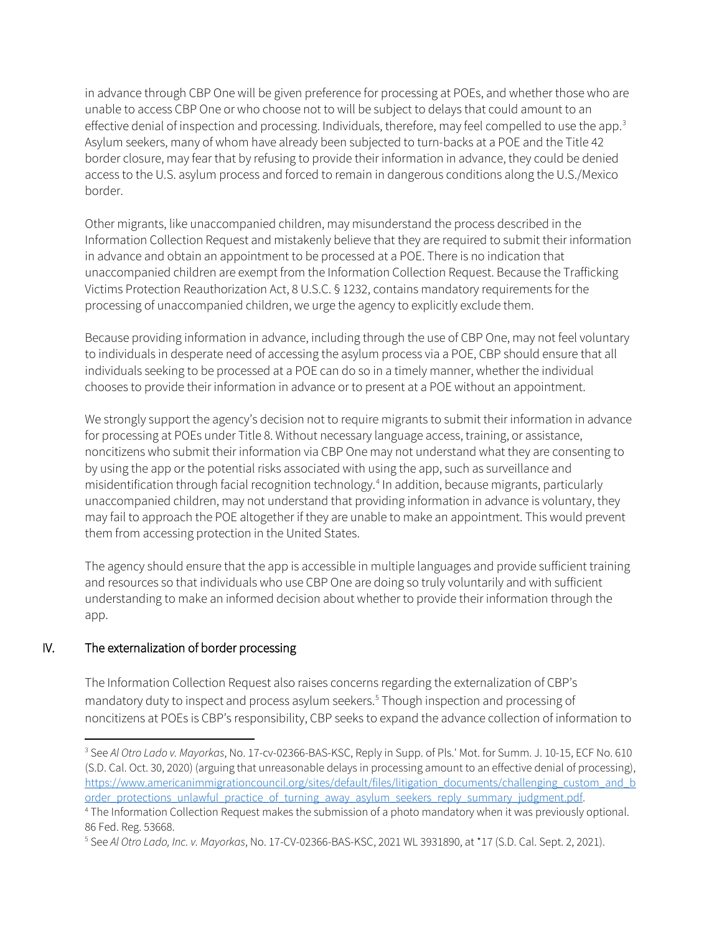in advance through CBP One will be given preference for processing at POEs, and whether those who are unable to access CBP One or who choose not to will be subject to delays that could amount to an effective denial of inspection and processing. Individuals, therefore, may feel compelled to use the app.<sup>[3](#page-3-0)</sup> Asylum seekers, many of whom have already been subjected to turn-backs at a POE and the Title 42 border closure, may fear that by refusing to provide their information in advance, they could be denied access to the U.S. asylum process and forced to remain in dangerous conditions along the U.S./Mexico border.

Other migrants, like unaccompanied children, may misunderstand the process described in the Information Collection Request and mistakenly believe that they are required to submit their information in advance and obtain an appointment to be processed at a POE. There is no indication that unaccompanied children are exempt from the Information Collection Request. Because the Trafficking Victims Protection Reauthorization Act, 8 U.S.C. § 1232, contains mandatory requirements for the processing of unaccompanied children, we urge the agency to explicitly exclude them.

Because providing information in advance, including through the use of CBP One, may not feel voluntary to individuals in desperate need of accessing the asylum process via a POE, CBP should ensure that all individuals seeking to be processed at a POE can do so in a timely manner, whether the individual chooses to provide their information in advance or to present at a POE without an appointment.

We strongly support the agency's decision not to require migrants to submit their information in advance for processing at POEs under Title 8. Without necessary language access, training, or assistance, noncitizens who submit their information via CBP One may not understand what they are consenting to by using the app or the potential risks associated with using the app, such as surveillance and misidentification through facial recognition technology.[4](#page-3-1) In addition, because migrants, particularly unaccompanied children, may not understand that providing information in advance is voluntary, they may fail to approach the POE altogether if they are unable to make an appointment. This would prevent them from accessing protection in the United States.

The agency should ensure that the app is accessible in multiple languages and provide sufficient training and resources so that individuals who use CBP One are doing so truly voluntarily and with sufficient understanding to make an informed decision about whether to provide their information through the app.

#### IV. The externalization of border processing

The Information Collection Request also raises concerns regarding the externalization of CBP's mandatory duty to inspect and process asylum seekers.<sup>5</sup> Though inspection and processing of noncitizens at POEs is CBP's responsibility, CBP seeks to expand the advance collection of information to

<span id="page-3-0"></span><sup>3</sup> See *Al Otro Lado v. Mayorkas*, No. 17-cv-02366-BAS-KSC, Reply in Supp. of Pls.' Mot. for Summ. J. 10-15, ECF No. 610 (S.D. Cal. Oct. 30, 2020) (arguing that unreasonable delays in processing amount to an effective denial of processing), [https://www.americanimmigrationcouncil.org/sites/default/files/litigation\\_documents/challenging\\_custom\\_and\\_b](https://www.americanimmigrationcouncil.org/sites/default/files/litigation_documents/challenging_custom_and_border_protections_unlawful_practice_of_turning_away_asylum_seekers_reply_summary_judgment.pdf) [order\\_protections\\_unlawful\\_practice\\_of\\_turning\\_away\\_asylum\\_seekers\\_reply\\_summary\\_judgment.pdf.](https://www.americanimmigrationcouncil.org/sites/default/files/litigation_documents/challenging_custom_and_border_protections_unlawful_practice_of_turning_away_asylum_seekers_reply_summary_judgment.pdf)

<span id="page-3-1"></span><sup>4</sup> The Information Collection Request makes the submission of a photo mandatory when it was previously optional. 86 Fed. Reg. 53668.

<span id="page-3-2"></span><sup>5</sup> See *Al Otro Lado, Inc. v. Mayorkas*, No. 17-CV-02366-BAS-KSC, 2021 WL 3931890, at \*17 (S.D. Cal. Sept. 2, 2021).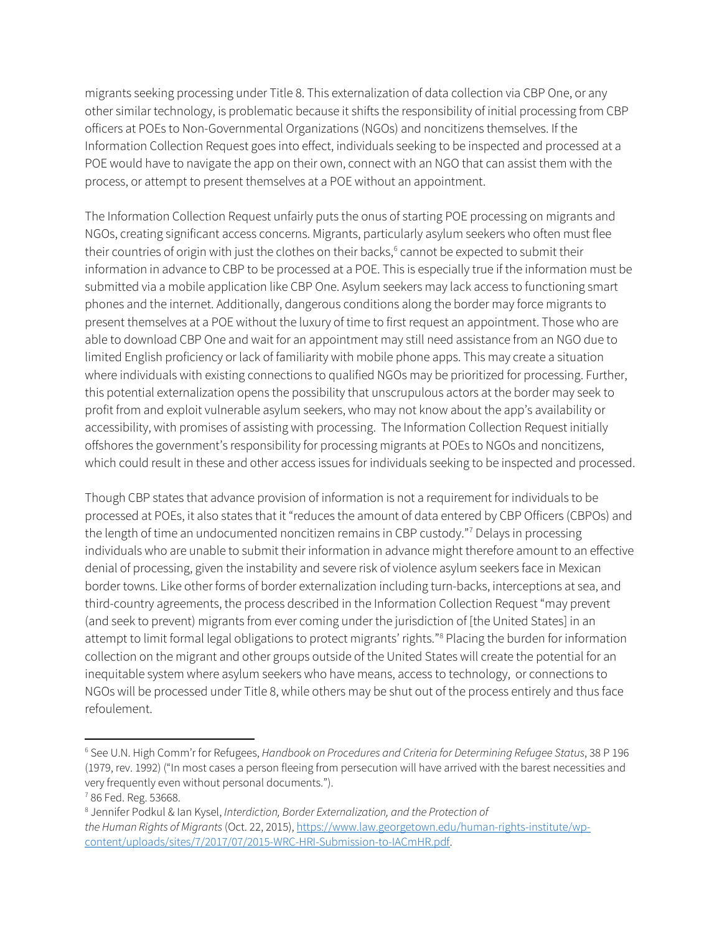migrants seeking processing under Title 8. This externalization of data collection via CBP One, or any other similar technology, is problematic because it shifts the responsibility of initial processing from CBP officers at POEs to Non-Governmental Organizations (NGOs) and noncitizens themselves. If the Information Collection Request goes into effect, individuals seeking to be inspected and processed at a POE would have to navigate the app on their own, connect with an NGO that can assist them with the process, or attempt to present themselves at a POE without an appointment.

The Information Collection Request unfairly puts the onus of starting POE processing on migrants and NGOs, creating significant access concerns. Migrants, particularly asylum seekers who often must flee their countries of origin with just the clothes on their backs,<sup>[6](#page-4-0)</sup> cannot be expected to submit their information in advance to CBP to be processed at a POE. This is especially true if the information must be submitted via a mobile application like CBP One. Asylum seekers may lack access to functioning smart phones and the internet. Additionally, dangerous conditions along the border may force migrants to present themselves at a POE without the luxury of time to first request an appointment. Those who are able to download CBP One and wait for an appointment may still need assistance from an NGO due to limited English proficiency or lack of familiarity with mobile phone apps. This may create a situation where individuals with existing connections to qualified NGOs may be prioritized for processing. Further, this potential externalization opens the possibility that unscrupulous actors at the border may seek to profit from and exploit vulnerable asylum seekers, who may not know about the app's availability or accessibility, with promises of assisting with processing. The Information Collection Request initially offshores the government's responsibility for processing migrants at POEs to NGOs and noncitizens, which could result in these and other access issues for individuals seeking to be inspected and processed.

Though CBP states that advance provision of information is not a requirement for individuals to be processed at POEs, it also states that it "reduces the amount of data entered by CBP Officers (CBPOs) and the length of time an undocumented noncitizen remains in CBP custody."[7](#page-4-1) Delays in processing individuals who are unable to submit their information in advance might therefore amount to an effective denial of processing, given the instability and severe risk of violence asylum seekers face in Mexican border towns. Like other forms of border externalization including turn-backs, interceptions at sea, and third-country agreements, the process described in the Information Collection Request "may prevent (and seek to prevent) migrants from ever coming under the jurisdiction of [the United States] in an attempt to limit formal legal obligations to protect migrants' rights."[8](#page-4-2) Placing the burden for information collection on the migrant and other groups outside of the United States will create the potential for an inequitable system where asylum seekers who have means, access to technology, or connections to NGOs will be processed under Title 8, while others may be shut out of the process entirely and thus face refoulement.

<span id="page-4-0"></span><sup>6</sup> See U.N. High Comm'r for Refugees, *Handbook on Procedures and Criteria for Determining Refugee Status*, 38 P 196 (1979, rev. 1992) ("In most cases a person fleeing from persecution will have arrived with the barest necessities and very frequently even without personal documents.").

<span id="page-4-1"></span><sup>7</sup> 86 Fed. Reg. 53668.

<span id="page-4-2"></span><sup>8</sup> Jennifer Podkul & Ian Kysel, *Interdiction, Border Externalization, and the Protection of the Human Rights of Migrants* (Oct. 22, 2015)[, https://www.law.georgetown.edu/human-rights-institute/wp](https://www.law.georgetown.edu/human-rights-institute/wp-content/uploads/sites/7/2017/07/2015-WRC-HRI-Submission-to-IACmHR.pdf)[content/uploads/sites/7/2017/07/2015-WRC-HRI-Submission-to-IACmHR.pdf.](https://www.law.georgetown.edu/human-rights-institute/wp-content/uploads/sites/7/2017/07/2015-WRC-HRI-Submission-to-IACmHR.pdf)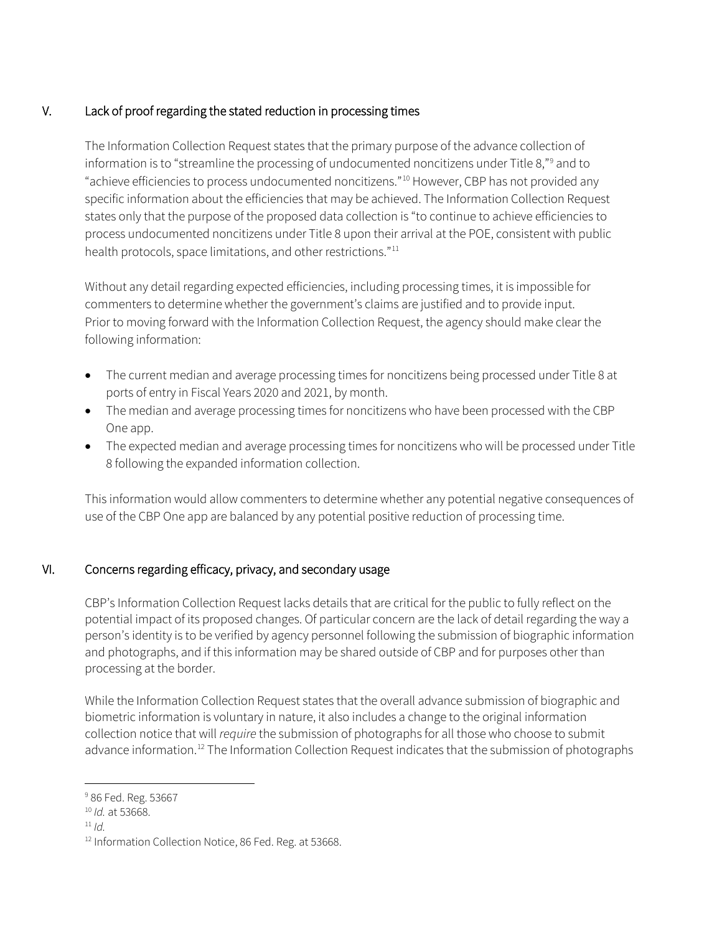# V. Lack of proof regarding the stated reduction in processing times

The Information Collection Request states that the primary purpose of the advance collection of information is to "streamline the processing of undocumented noncitizens under Title 8,["9](#page-5-0) and to "achieve efficiencies to process undocumented noncitizens."[10](#page-5-1) However, CBP has not provided any specific information about the efficiencies that may be achieved. The Information Collection Request states only that the purpose of the proposed data collection is "to continue to achieve efficiencies to process undocumented noncitizens under Title 8 upon their arrival at the POE, consistent with public health protocols, space limitations, and other restrictions."<sup>[11](#page-5-2)</sup>

Without any detail regarding expected efficiencies, including processing times, it is impossible for commenters to determine whether the government's claims are justified and to provide input. Prior to moving forward with the Information Collection Request, the agency should make clear the following information:

- The current median and average processing times for noncitizens being processed under Title 8 at ports of entry in Fiscal Years 2020 and 2021, by month.
- The median and average processing times for noncitizens who have been processed with the CBP One app.
- The expected median and average processing times for noncitizens who will be processed under Title 8 following the expanded information collection.

This information would allow commenters to determine whether any potential negative consequences of use of the CBP One app are balanced by any potential positive reduction of processing time.

#### VI. Concerns regarding efficacy, privacy, and secondary usage

CBP's Information Collection Request lacks details that are critical for the public to fully reflect on the potential impact of its proposed changes. Of particular concern are the lack of detail regarding the way a person's identity is to be verified by agency personnel following the submission of biographic information and photographs, and if this information may be shared outside of CBP and for purposes other than processing at the border.

While the Information Collection Request states that the overall advance submission of biographic and biometric information is voluntary in nature, it also includes a change to the original information collection notice that will *require* the submission of photographs for all those who choose to submit advance information.<sup>12</sup> The Information Collection Request indicates that the submission of photographs

<span id="page-5-2"></span> $11/d$ 

<span id="page-5-0"></span><sup>&</sup>lt;sup>9</sup> 86 Fed. Reg. 53667

<span id="page-5-1"></span><sup>10</sup> *Id.* at 53668.

<span id="page-5-3"></span><sup>&</sup>lt;sup>12</sup> Information Collection Notice, 86 Fed. Reg. at 53668.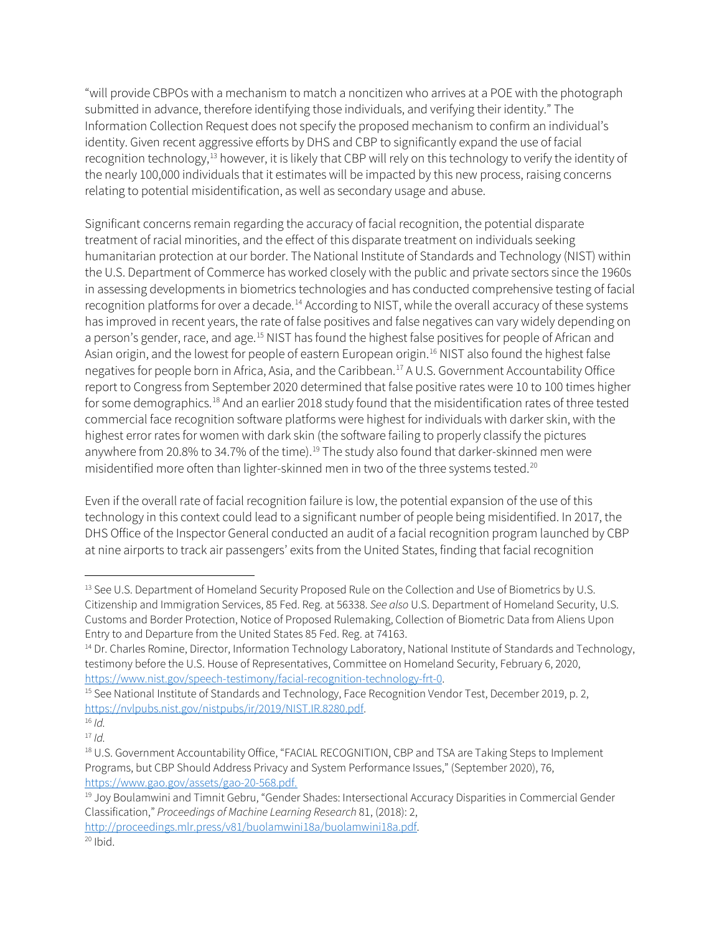"will provide CBPOs with a mechanism to match a noncitizen who arrives at a POE with the photograph submitted in advance, therefore identifying those individuals, and verifying their identity." The Information Collection Request does not specify the proposed mechanism to confirm an individual's identity. Given recent aggressive efforts by DHS and CBP to significantly expand the use of facial recognition technology,<sup>[13](#page-6-0)</sup> however, it is likely that CBP will rely on this technology to verify the identity of the nearly 100,000 individuals that it estimates will be impacted by this new process, raising concerns relating to potential misidentification, as well as secondary usage and abuse.

Significant concerns remain regarding the accuracy of facial recognition, the potential disparate treatment of racial minorities, and the effect of this disparate treatment on individuals seeking humanitarian protection at our border. The National Institute of Standards and Technology (NIST) within the U.S. Department of Commerce has worked closely with the public and private sectors since the 1960s in assessing developments in biometrics technologies and has conducted comprehensive testing of facial recognition platforms for over a decade.<sup>[14](#page-6-1)</sup> According to NIST, while the overall accuracy of these systems has improved in recent years, the rate of false positives and false negatives can vary widely depending on a person's gender, race, and age.<sup>[15](#page-6-2)</sup> NIST has found the highest false positives for people of African and Asian origin, and the lowest for people of eastern European origin.<sup>16</sup> NIST also found the highest false negatives for people born in Africa, Asia, and the Caribbean.[17](#page-6-4) A U.S. Government Accountability Office report to Congress from September 2020 determined that false positive rates were 10 to 100 times higher for some demographics.<sup>[18](#page-6-5)</sup> And an earlier 2018 study found that the misidentification rates of three tested commercial face recognition software platforms were highest for individuals with darker skin, with the highest error rates for women with dark skin (the software failing to properly classify the pictures anywhere from 20.8% to 34.7% of the time).<sup>[19](#page-6-6)</sup> The study also found that darker-skinned men were misidentified more often than lighter-skinned men in two of the three systems tested.<sup>[20](#page-6-7)</sup>

Even if the overall rate of facial recognition failure is low, the potential expansion of the use of this technology in this context could lead to a significant number of people being misidentified. In 2017, the DHS Office of the Inspector General conducted an audit of a facial recognition program launched by CBP at nine airports to track air passengers' exits from the United States, finding that facial recognition

<span id="page-6-0"></span><sup>&</sup>lt;sup>13</sup> See U.S. Department of Homeland Security Proposed Rule on the Collection and Use of Biometrics by U.S. Citizenship and Immigration Services, 85 Fed. Reg. at 56338. *See also* U.S. Department of Homeland Security, U.S. Customs and Border Protection, Notice of Proposed Rulemaking, Collection of Biometric Data from Aliens Upon Entry to and Departure from the United States 85 Fed. Reg. at 74163.

<span id="page-6-1"></span><sup>&</sup>lt;sup>14</sup> Dr. Charles Romine, Director, Information Technology Laboratory, National Institute of Standards and Technology, testimony before the U.S. House of Representatives, Committee on Homeland Security, February 6, 2020, [https://www.nist.gov/speech-testimony/facial-recognition-technology-frt-0.](https://www.nist.gov/speech-testimony/facial-recognition-technology-frt-0)<br><sup>15</sup> See National Institute of Standards and Technology, Face Recognition Vendor Test, December 2019, p. 2,

<span id="page-6-2"></span>[https://nvlpubs.nist.gov/nistpubs/ir/2019/NIST.IR.8280.pdf.](https://nvlpubs.nist.gov/nistpubs/ir/2019/NIST.IR.8280.pdf)

<span id="page-6-3"></span> $16 / d$ 

<span id="page-6-4"></span><sup>17</sup> *Id.*

<span id="page-6-5"></span><sup>18</sup> U.S. Government Accountability Office, "FACIAL RECOGNITION, CBP and TSA are Taking Steps to Implement Programs, but CBP Should Address Privacy and System Performance Issues," (September 2020), 76, [https://www.gao.gov/assets/gao-20-568.pdf.](https://www.gao.gov/assets/gao-20-568.pdf)

<span id="page-6-6"></span><sup>&</sup>lt;sup>19</sup> Joy Boulamwini and Timnit Gebru, "Gender Shades: Intersectional Accuracy Disparities in Commercial Gender Classification," *Proceedings of Machine Learning Research* 81, (2018): 2,

<span id="page-6-7"></span>[http://proceedings.mlr.press/v81/buolamwini18a/buolamwini18a.pdf.](http://proceedings.mlr.press/v81/buolamwini18a/buolamwini18a.pdf)  $20$  Ibid.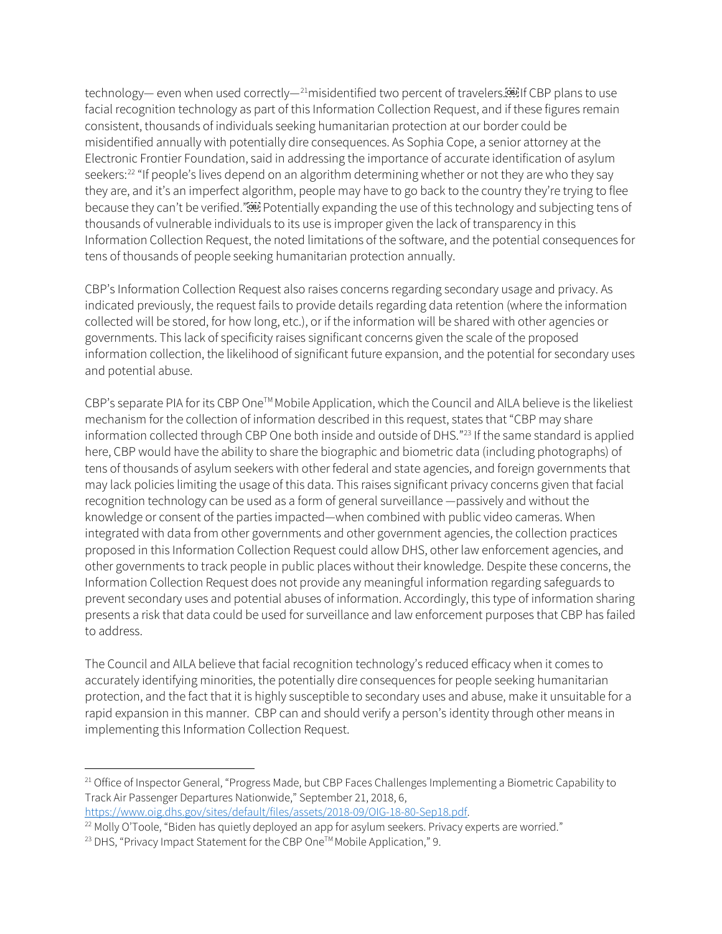technology— even when used correctly— $^{21}$  $^{21}$  $^{21}$ misidentified two percent of travelers.<sup>[66]</sup> If CBP plans to use facial recognition technology as part of this Information Collection Request, and if these figures remain consistent, thousands of individuals seeking humanitarian protection at our border could be misidentified annually with potentially dire consequences. As Sophia Cope, a senior attorney at the Electronic Frontier Foundation, said in addressing the importance of accurate identification of asylum seekers:<sup>[22](#page-7-1)</sup> "If people's lives depend on an algorithm determining whether or not they are who they say they are, and it's an imperfect algorithm, people may have to go back to the country they're trying to flee because they can't be verified."<sup>[6]</sup> Potentially expanding the use of this technology and subjecting tens of thousands of vulnerable individuals to its use is improper given the lack of transparency in this Information Collection Request, the noted limitations of the software, and the potential consequences for tens of thousands of people seeking humanitarian protection annually.

CBP's Information Collection Request also raises concerns regarding secondary usage and privacy. As indicated previously, the request fails to provide details regarding data retention (where the information collected will be stored, for how long, etc.), or if the information will be shared with other agencies or governments. This lack of specificity raises significant concerns given the scale of the proposed information collection, the likelihood of significant future expansion, and the potential for secondary uses and potential abuse.

CBP's separate PIA for its CBP One™ Mobile Application, which the Council and AILA believe is the likeliest mechanism for the collection of information described in this request, states that "CBP may share information collected through CBP One both inside and outside of DHS."<sup>[23](#page-7-2)</sup> If the same standard is applied here, CBP would have the ability to share the biographic and biometric data (including photographs) of tens of thousands of asylum seekers with other federal and state agencies, and foreign governments that may lack policies limiting the usage of this data. This raises significant privacy concerns given that facial recognition technology can be used as a form of general surveillance —passively and without the knowledge or consent of the parties impacted—when combined with public video cameras. When integrated with data from other governments and other government agencies, the collection practices proposed in this Information Collection Request could allow DHS, other law enforcement agencies, and other governments to track people in public places without their knowledge. Despite these concerns, the Information Collection Request does not provide any meaningful information regarding safeguards to prevent secondary uses and potential abuses of information. Accordingly, this type of information sharing presents a risk that data could be used for surveillance and law enforcement purposes that CBP has failed to address.

The Council and AILA believe that facial recognition technology's reduced efficacy when it comes to accurately identifying minorities, the potentially dire consequences for people seeking humanitarian protection, and the fact that it is highly susceptible to secondary uses and abuse, make it unsuitable for a rapid expansion in this manner. CBP can and should verify a person's identity through other means in implementing this Information Collection Request.

[https://www.oig.dhs.gov/sites/default/files/assets/2018-09/OIG-18-80-Sep18.pdf.](https://www.oig.dhs.gov/sites/default/files/assets/2018-09/OIG-18-80-Sep18.pdf)

<span id="page-7-0"></span><sup>&</sup>lt;sup>21</sup> Office of Inspector General, "Progress Made, but CBP Faces Challenges Implementing a Biometric Capability to Track Air Passenger Departures Nationwide," September 21, 2018, 6,

<span id="page-7-1"></span> $22$  Molly O'Toole, "Biden has quietly deployed an app for asylum seekers. Privacy experts are worried."

<span id="page-7-2"></span><sup>&</sup>lt;sup>23</sup> DHS, "Privacy Impact Statement for the CBP One™ Mobile Application," 9.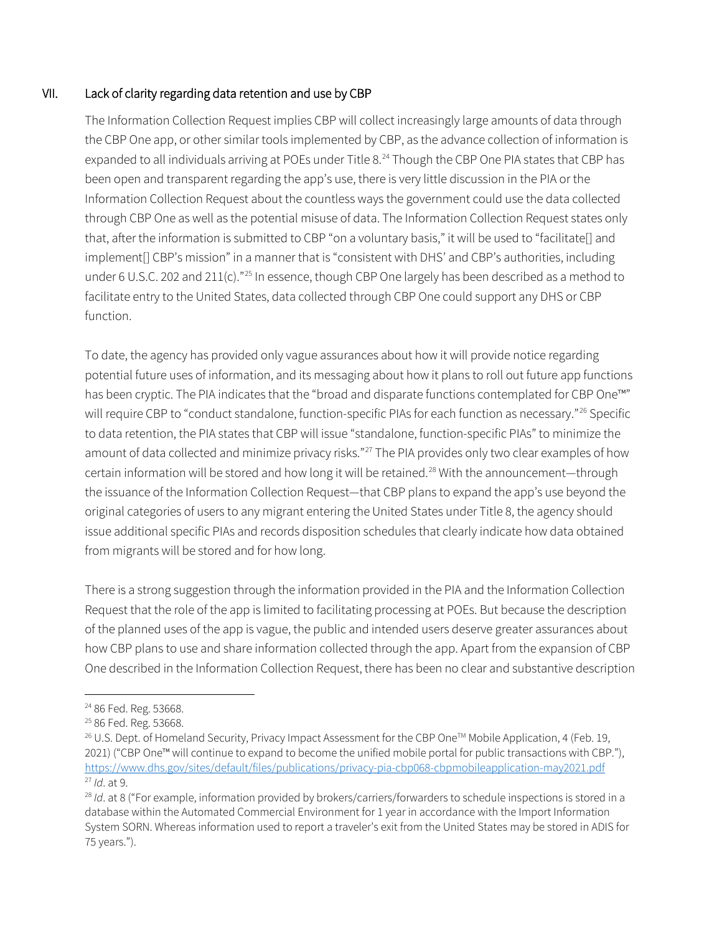#### VII. Lack of clarity regarding data retention and use by CBP

The Information Collection Request implies CBP will collect increasingly large amounts of data through the CBP One app, or other similar tools implemented by CBP, as the advance collection of information is expanded to all individuals arriving at POEs under Title 8.<sup>[24](#page-8-0)</sup> Though the CBP One PIA states that CBP has been open and transparent regarding the app's use, there is very little discussion in the PIA or the Information Collection Request about the countless ways the government could use the data collected through CBP One as well as the potential misuse of data. The Information Collection Request states only that, after the information is submitted to CBP "on a voluntary basis," it will be used to "facilitate[] and implement[] CBP's mission" in a manner that is "consistent with DHS' and CBP's authorities, including under 6 U.S.C. 202 and 211(c)."<sup>[25](#page-8-1)</sup> In essence, though CBP One largely has been described as a method to facilitate entry to the United States, data collected through CBP One could support any DHS or CBP function.

To date, the agency has provided only vague assurances about how it will provide notice regarding potential future uses of information, and its messaging about how it plans to roll out future app functions has been cryptic. The PIA indicates that the "broad and disparate functions contemplated for CBP One™" will require CBP to "conduct standalone, function-specific PIAs for each function as necessary."<sup>[26](#page-8-2)</sup> Specific to data retention, the PIA states that CBP will issue "standalone, function-specific PIAs" to minimize the amount of data collected and minimize privacy risks."<sup>[27](#page-8-3)</sup> The PIA provides only two clear examples of how certain information will be stored and how long it will be retained.<sup>[28](#page-8-4)</sup> With the announcement—through the issuance of the Information Collection Request—that CBP plans to expand the app's use beyond the original categories of users to any migrant entering the United States under Title 8, the agency should issue additional specific PIAs and records disposition schedules that clearly indicate how data obtained from migrants will be stored and for how long.

There is a strong suggestion through the information provided in the PIA and the Information Collection Request that the role of the app is limited to facilitating processing at POEs. But because the description of the planned uses of the app is vague, the public and intended users deserve greater assurances about how CBP plans to use and share information collected through the app. Apart from the expansion of CBP One described in the Information Collection Request, there has been no clear and substantive description

<span id="page-8-0"></span><sup>24</sup> 86 Fed. Reg. 53668.

<span id="page-8-1"></span><sup>25</sup> 86 Fed. Reg. 53668.

<span id="page-8-2"></span><sup>&</sup>lt;sup>26</sup> U.S. Dept. of Homeland Security, Privacy Impact Assessment for the CBP One™ Mobile Application, 4 (Feb. 19, 2021) ("CBP One™ will continue to expand to become the unified mobile portal for public transactions with CBP."), <https://www.dhs.gov/sites/default/files/publications/privacy-pia-cbp068-cbpmobileapplication-may2021.pdf> <sup>27</sup> *Id*. at 9.

<span id="page-8-4"></span><span id="page-8-3"></span><sup>&</sup>lt;sup>28</sup> Id. at 8 ("For example, information provided by brokers/carriers/forwarders to schedule inspections is stored in a database within the Automated Commercial Environment for 1 year in accordance with the Import Information System SORN. Whereas information used to report a traveler's exit from the United States may be stored in ADIS for 75 years.").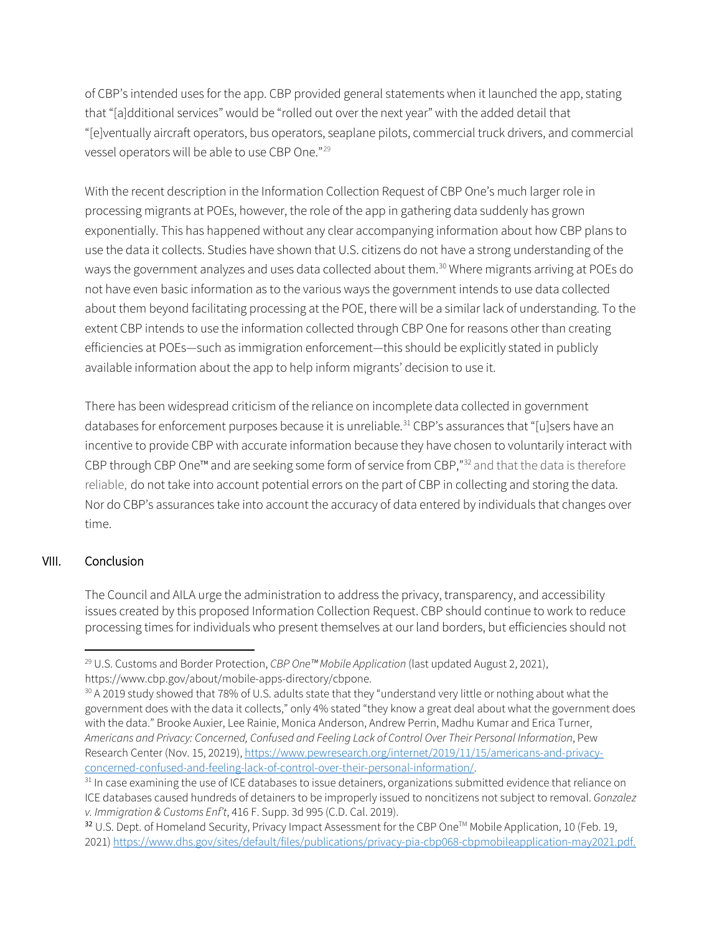of CBP's intended uses for the app. CBP provided general statements when it launched the app, stating that "[a]dditional services" would be "rolled out over the next year" with the added detail that "[e]ventually aircraft operators, bus operators, seaplane pilots, commercial truck drivers, and commercial vessel operators will be able to use CBP One."[29](#page-9-0)

With the recent description in the Information Collection Request of CBP One's much larger role in processing migrants at POEs, however, the role of the app in gathering data suddenly has grown exponentially. This has happened without any clear accompanying information about how CBP plans to use the data it collects. Studies have shown that U.S. citizens do not have a strong understanding of the ways the government analyzes and uses data collected about them.<sup>30</sup> Where migrants arriving at POEs do not have even basic information as to the various ways the government intends to use data collected about them beyond facilitating processing at the POE, there will be a similar lack of understanding. To the extent CBP intends to use the information collected through CBP One for reasons other than creating efficiencies at POEs—such as immigration enforcement—this should be explicitly stated in publicly available information about the app to help inform migrants' decision to use it.

There has been widespread criticism of the reliance on incomplete data collected in government databases for enforcement purposes because it is unreliable. [31](#page-9-2) CBP's assurances that "[u]sers have an incentive to provide CBP with accurate information because they have chosen to voluntarily interact with CBP through CBP One™ and are seeking some form of service from CBP,"[32](#page-9-3) and that the data is therefore reliable, do not take into account potential errors on the part of CBP in collecting and storing the data. Nor do CBP's assurances take into account the accuracy of data entered by individuals that changes over time.

#### VIII. Conclusion

The Council and AILA urge the administration to address the privacy, transparency, and accessibility issues created by this proposed Information Collection Request. CBP should continue to work to reduce processing times for individuals who present themselves at our land borders, but efficiencies should not

<span id="page-9-0"></span><sup>29</sup> U.S. Customs and Border Protection, *CBP One™ Mobile Application* (last updated August 2, 2021),

https://www.cbp.gov/about/mobile-apps-directory/cbpone.

<span id="page-9-1"></span><sup>30</sup> A 2019 study showed that 78% of U.S. adults state that they "understand very little or nothing about what the government does with the data it collects," only 4% stated "they know a great deal about what the government does with the data." Brooke Auxier, Lee Rainie, Monica Anderson, Andrew Perrin, Madhu Kumar and Erica Turner, *Americans and Privacy: Concerned, Confused and Feeling Lack of Control Over Their Personal Information*, Pew Research Center (Nov. 15, 20219)[, https://www.pewresearch.org/internet/2019/11/15/americans-and-privacy](https://www.pewresearch.org/internet/2019/11/15/americans-and-privacy-concerned-confused-and-feeling-lack-of-control-over-their-personal-information/)[concerned-confused-and-feeling-lack-of-control-over-their-personal-information/.](https://www.pewresearch.org/internet/2019/11/15/americans-and-privacy-concerned-confused-and-feeling-lack-of-control-over-their-personal-information/)

<span id="page-9-2"></span> $31$  In case examining the use of ICE databases to issue detainers, organizations submitted evidence that reliance on ICE databases caused hundreds of detainers to be improperly issued to noncitizens not subject to removal. *Gonzalez v. Immigration & Customs Enf't*, 416 F. Supp. 3d 995 (C.D. Cal. 2019).

<span id="page-9-3"></span><sup>&</sup>lt;sup>32</sup> U.S. Dept. of Homeland Security, Privacy Impact Assessment for the CBP One™ Mobile Application, 10 (Feb. 19, 2021) [https://www.dhs.gov/sites/default/files/publications/privacy-pia-cbp068-cbpmobileapplication-may2021.pdf.](https://www.dhs.gov/sites/default/files/publications/privacy-pia-cbp068-cbpmobileapplication-may2021.pdf)